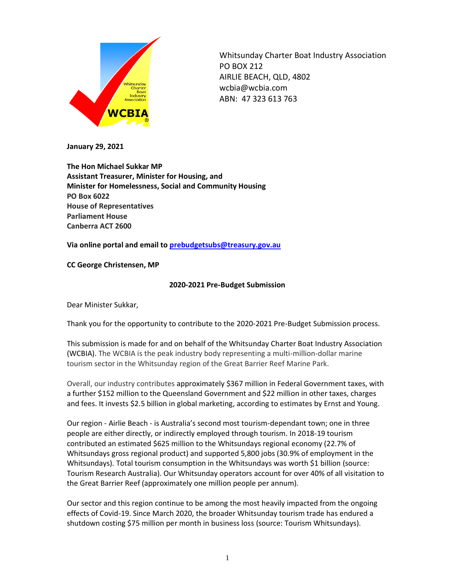

Whitsunday Charter Boat Industry Association PO BOX 212 AIRLIE BEACH, QLD, 4802 wcbia@wcbia.com ABN: 47 323 613 763

**January 29, 2021**

**The Hon Michael Sukkar MP Assistant Treasurer, Minister for Housing, and Minister for Homelessness, Social and Community Housing PO Box 6022 House of Representatives Parliament House Canberra ACT 2600**

**Via online portal and email to [prebudgetsubs@treasury.gov.au](mailto:prebudgetsubs@treasury.gov.au)**

**CC George Christensen, MP**

#### **2020-2021 Pre-Budget Submission**

Dear Minister Sukkar,

Thank you for the opportunity to contribute to the 2020-2021 Pre-Budget Submission process.

This submission is made for and on behalf of the Whitsunday Charter Boat Industry Association (WCBIA). The WCBIA is the peak industry body representing a multi-million-dollar marine tourism sector in the Whitsunday region of the Great Barrier Reef Marine Park.

Overall, our industry contributes approximately \$367 million in Federal Government taxes, with a further \$152 million to the Queensland Government and \$22 million in other taxes, charges and fees. It invests \$2.5 billion in global marketing, according to estimates by Ernst and Young.

Our region - Airlie Beach - is Australia's second most tourism-dependant town; one in three people are either directly, or indirectly employed through tourism. In 2018-19 tourism contributed an estimated \$625 million to the Whitsundays regional economy (22.7% of Whitsundays gross regional product) and supported 5,800 jobs (30.9% of employment in the Whitsundays). Total tourism consumption in the Whitsundays was worth \$1 billion (source: Tourism Research Australia). Our Whitsunday operators account for over 40% of all visitation to the Great Barrier Reef (approximately one million people per annum).

Our sector and this region continue to be among the most heavily impacted from the ongoing effects of Covid-19. Since March 2020, the broader Whitsunday tourism trade has endured a shutdown costing \$75 million per month in business loss (source: Tourism Whitsundays).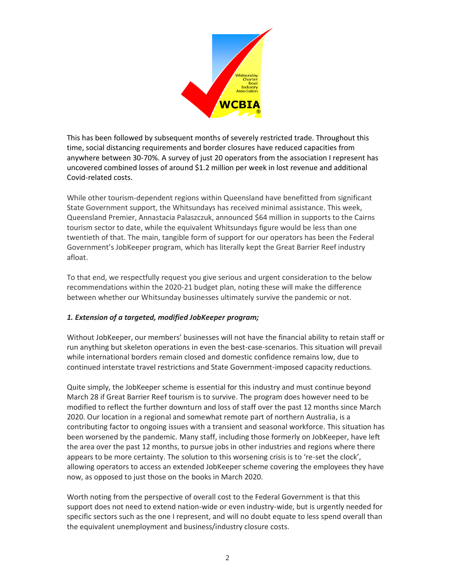

This has been followed by subsequent months of severely restricted trade. Throughout this time, social distancing requirements and border closures have reduced capacities from anywhere between 30-70%. A survey of just 20 operators from the association I represent has uncovered combined losses of around \$1.2 million per week in lost revenue and additional Covid-related costs.

While other tourism-dependent regions within Queensland have benefitted from significant State Government support, the Whitsundays has received minimal assistance. This week, Queensland Premier, Annastacia Palaszczuk, announced \$64 million in supports to the Cairns tourism sector to date, while the equivalent Whitsundays figure would be less than one twentieth of that. The main, tangible form of support for our operators has been the Federal Government's JobKeeper program, which has literally kept the Great Barrier Reef industry afloat.

To that end, we respectfully request you give serious and urgent consideration to the below recommendations within the 2020-21 budget plan, noting these will make the difference between whether our Whitsunday businesses ultimately survive the pandemic or not.

### *1. Extension of a targeted, modified JobKeeper program;*

Without JobKeeper, our members' businesses will not have the financial ability to retain staff or run anything but skeleton operations in even the best-case-scenarios. This situation will prevail while international borders remain closed and domestic confidence remains low, due to continued interstate travel restrictions and State Government-imposed capacity reductions.

Quite simply, the JobKeeper scheme is essential for this industry and must continue beyond March 28 if Great Barrier Reef tourism is to survive. The program does however need to be modified to reflect the further downturn and loss of staff over the past 12 months since March 2020. Our location in a regional and somewhat remote part of northern Australia, is a contributing factor to ongoing issues with a transient and seasonal workforce. This situation has been worsened by the pandemic. Many staff, including those formerly on JobKeeper, have left the area over the past 12 months, to pursue jobs in other industries and regions where there appears to be more certainty. The solution to this worsening crisis is to 're-set the clock', allowing operators to access an extended JobKeeper scheme covering the employees they have now, as opposed to just those on the books in March 2020.

Worth noting from the perspective of overall cost to the Federal Government is that this support does not need to extend nation-wide or even industry-wide, but is urgently needed for specific sectors such as the one I represent, and will no doubt equate to less spend overall than the equivalent unemployment and business/industry closure costs.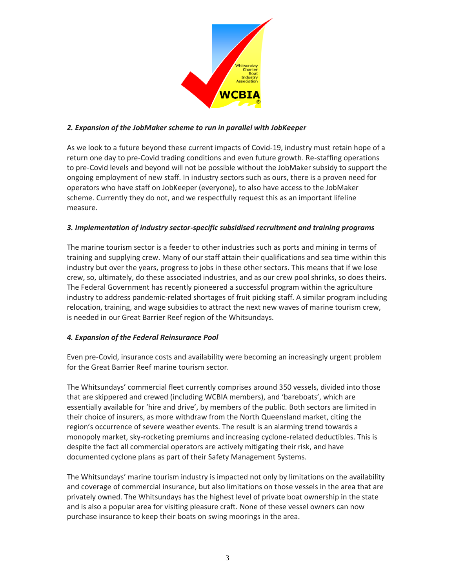

## *2. Expansion of the JobMaker scheme to run in parallel with JobKeeper*

As we look to a future beyond these current impacts of Covid-19, industry must retain hope of a return one day to pre-Covid trading conditions and even future growth. Re-staffing operations to pre-Covid levels and beyond will not be possible without the JobMaker subsidy to support the ongoing employment of new staff. In industry sectors such as ours, there is a proven need for operators who have staff on JobKeeper (everyone), to also have access to the JobMaker scheme. Currently they do not, and we respectfully request this as an important lifeline measure.

## *3. Implementation of industry sector-specific subsidised recruitment and training programs*

The marine tourism sector is a feeder to other industries such as ports and mining in terms of training and supplying crew. Many of our staff attain their qualifications and sea time within this industry but over the years, progress to jobs in these other sectors. This means that if we lose crew, so, ultimately, do these associated industries, and as our crew pool shrinks, so does theirs. The Federal Government has recently pioneered a successful program within the agriculture industry to address pandemic-related shortages of fruit picking staff. A similar program including relocation, training, and wage subsidies to attract the next new waves of marine tourism crew, is needed in our Great Barrier Reef region of the Whitsundays.

# *4. Expansion of the Federal Reinsurance Pool*

Even pre-Covid, insurance costs and availability were becoming an increasingly urgent problem for the Great Barrier Reef marine tourism sector.

The Whitsundays' commercial fleet currently comprises around 350 vessels, divided into those that are skippered and crewed (including WCBIA members), and 'bareboats', which are essentially available for 'hire and drive', by members of the public. Both sectors are limited in their choice of insurers, as more withdraw from the North Queensland market, citing the region's occurrence of severe weather events. The result is an alarming trend towards a monopoly market, sky-rocketing premiums and increasing cyclone-related deductibles. This is despite the fact all commercial operators are actively mitigating their risk, and have documented cyclone plans as part of their Safety Management Systems.

The Whitsundays' marine tourism industry is impacted not only by limitations on the availability and coverage of commercial insurance, but also limitations on those vessels in the area that are privately owned. The Whitsundays has the highest level of private boat ownership in the state and is also a popular area for visiting pleasure craft. None of these vessel owners can now purchase insurance to keep their boats on swing moorings in the area.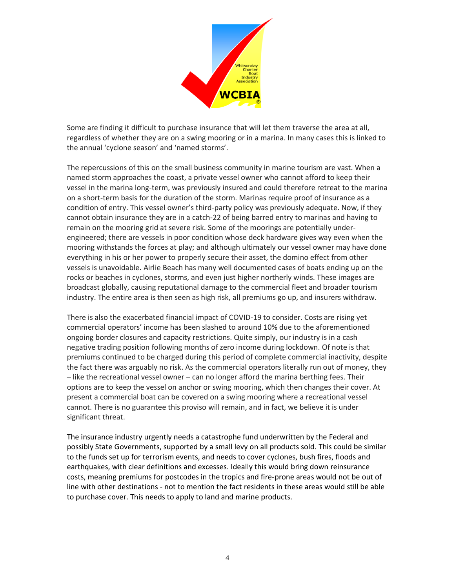

Some are finding it difficult to purchase insurance that will let them traverse the area at all, regardless of whether they are on a swing mooring or in a marina. In many cases this is linked to the annual 'cyclone season' and 'named storms'.

The repercussions of this on the small business community in marine tourism are vast. When a named storm approaches the coast, a private vessel owner who cannot afford to keep their vessel in the marina long-term, was previously insured and could therefore retreat to the marina on a short-term basis for the duration of the storm. Marinas require proof of insurance as a condition of entry. This vessel owner's third-party policy was previously adequate. Now, if they cannot obtain insurance they are in a catch-22 of being barred entry to marinas and having to remain on the mooring grid at severe risk. Some of the moorings are potentially underengineered; there are vessels in poor condition whose deck hardware gives way even when the mooring withstands the forces at play; and although ultimately our vessel owner may have done everything in his or her power to properly secure their asset, the domino effect from other vessels is unavoidable. Airlie Beach has many well documented cases of boats ending up on the rocks or beaches in cyclones, storms, and even just higher northerly winds. These images are broadcast globally, causing reputational damage to the commercial fleet and broader tourism industry. The entire area is then seen as high risk, all premiums go up, and insurers withdraw.

There is also the exacerbated financial impact of COVID-19 to consider. Costs are rising yet commercial operators' income has been slashed to around 10% due to the aforementioned ongoing border closures and capacity restrictions. Quite simply, our industry is in a cash negative trading position following months of zero income during lockdown. Of note is that premiums continued to be charged during this period of complete commercial inactivity, despite the fact there was arguably no risk. As the commercial operators literally run out of money, they – like the recreational vessel owner – can no longer afford the marina berthing fees. Their options are to keep the vessel on anchor or swing mooring, which then changes their cover. At present a commercial boat can be covered on a swing mooring where a recreational vessel cannot. There is no guarantee this proviso will remain, and in fact, we believe it is under significant threat.

The insurance industry urgently needs a catastrophe fund underwritten by the Federal and possibly State Governments, supported by a small levy on all products sold. This could be similar to the funds set up for terrorism events, and needs to cover cyclones, bush fires, floods and earthquakes, with clear definitions and excesses. Ideally this would bring down reinsurance costs, meaning premiums for postcodes in the tropics and fire-prone areas would not be out of line with other destinations - not to mention the fact residents in these areas would still be able to purchase cover. This needs to apply to land and marine products.